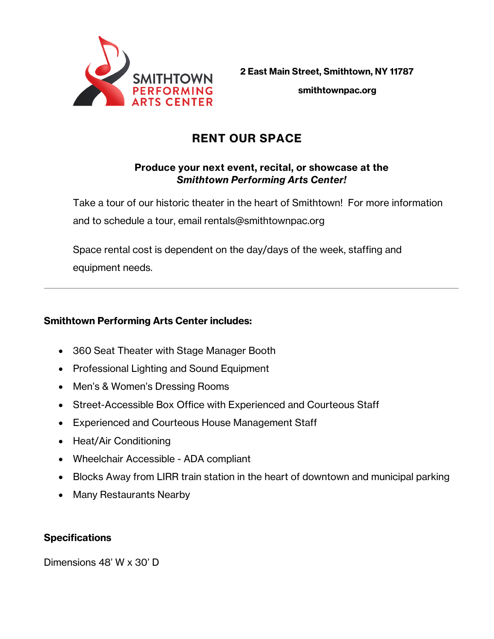

**2 East Main Street, Smithtown, NY 11787 smithtownpac.org**

# **RENT OUR SPACE**

# **Produce your next event, recital, or showcase at the**  *Smithtown Performing Arts Center!*

Take a tour of our historic theater in the heart of Smithtown! For more information and to schedule a tour, email rentals@smithtownpac.org

Space rental cost is dependent on the day/days of the week, staffing and equipment needs.

# **Smithtown Performing Arts Center includes:**

- 360 Seat Theater with Stage Manager Booth
- Professional Lighting and Sound Equipment
- Men's & Women's Dressing Rooms
- Street-Accessible Box Office with Experienced and Courteous Staff
- Experienced and Courteous House Management Staff
- Heat/Air Conditioning
- Wheelchair Accessible ADA compliant
- Blocks Away from LIRR train station in the heart of downtown and municipal parking
- Many Restaurants Nearby

# **Specifications**

Dimensions 48' W x 30' D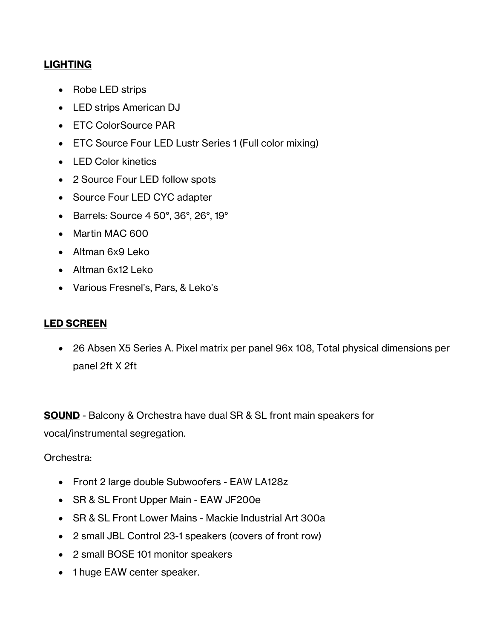# **LIGHTING**

- Robe LED strips
- LED strips American DJ
- ETC ColorSource PAR
- ETC Source Four LED Lustr Series 1 (Full color mixing)
- LED Color kinetics
- 2 Source Four LED follow spots
- Source Four LED CYC adapter
- Barrels: Source 4 50°, 36°, 26°, 19°
- Martin MAC 600
- Altman 6x9 Leko
- Altman 6x12 Leko
- Various Fresnel's, Pars, & Leko's

# **LED SCREEN**

• 26 Absen X5 Series A. Pixel matrix per panel 96x 108, Total physical dimensions per panel 2ft X 2ft

**SOUND** - Balcony & Orchestra have dual SR & SL front main speakers for vocal/instrumental segregation.

#### Orchestra:

- Front 2 large double Subwoofers EAW LA128z
- SR & SL Front Upper Main EAW JF200e
- SR & SL Front Lower Mains Mackie Industrial Art 300a
- 2 small JBL Control 23-1 speakers (covers of front row)
- 2 small BOSE 101 monitor speakers
- 1 huge EAW center speaker.